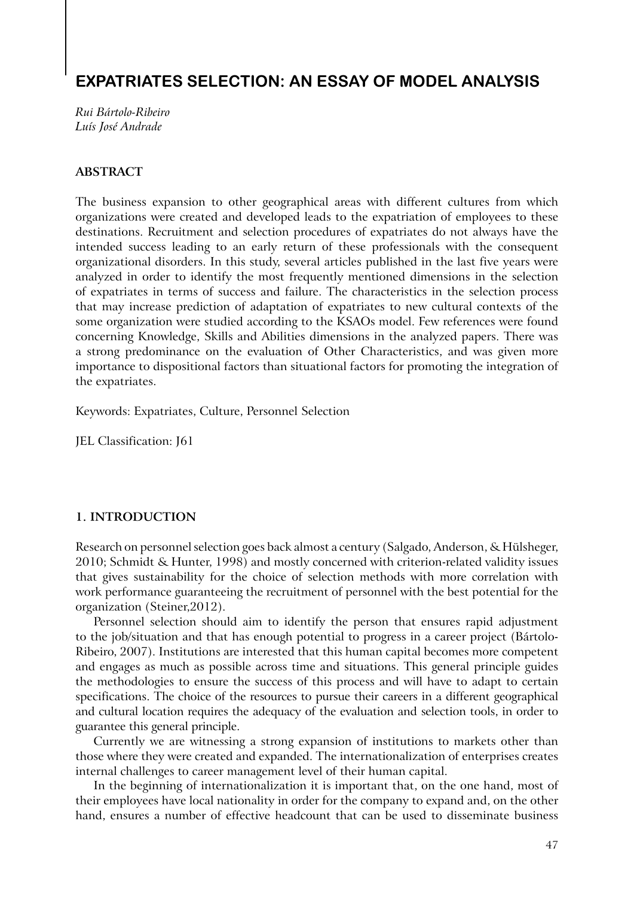# **EXPATRIATES SELECTION: AN ESSAY OF MODEL ANALYSIS**

*Rui Bártolo-Ribeiro Luís José Andrade*

## **ABSTRACT**

The business expansion to other geographical areas with different cultures from which organizations were created and developed leads to the expatriation of employees to these destinations. Recruitment and selection procedures of expatriates do not always have the intended success leading to an early return of these professionals with the consequent organizational disorders. In this study, several articles published in the last five years were analyzed in order to identify the most frequently mentioned dimensions in the selection of expatriates in terms of success and failure. The characteristics in the selection process that may increase prediction of adaptation of expatriates to new cultural contexts of the some organization were studied according to the KSAOs model. Few references were found concerning Knowledge, Skills and Abilities dimensions in the analyzed papers. There was a strong predominance on the evaluation of Other Characteristics, and was given more importance to dispositional factors than situational factors for promoting the integration of the expatriates.

Keywords: Expatriates, Culture, Personnel Selection

JEL Classification: J61

## **1. INTRODUCTION**

Research on personnel selection goes back almost a century (Salgado, Anderson, & Hülsheger, 2010; Schmidt & Hunter, 1998) and mostly concerned with criterion-related validity issues that gives sustainability for the choice of selection methods with more correlation with work performance guaranteeing the recruitment of personnel with the best potential for the organization (Steiner,2012).

Personnel selection should aim to identify the person that ensures rapid adjustment to the job/situation and that has enough potential to progress in a career project (Bártolo-Ribeiro, 2007). Institutions are interested that this human capital becomes more competent and engages as much as possible across time and situations. This general principle guides the methodologies to ensure the success of this process and will have to adapt to certain specifications. The choice of the resources to pursue their careers in a different geographical and cultural location requires the adequacy of the evaluation and selection tools, in order to guarantee this general principle.

Currently we are witnessing a strong expansion of institutions to markets other than those where they were created and expanded. The internationalization of enterprises creates internal challenges to career management level of their human capital.

In the beginning of internationalization it is important that, on the one hand, most of their employees have local nationality in order for the company to expand and, on the other hand, ensures a number of effective headcount that can be used to disseminate business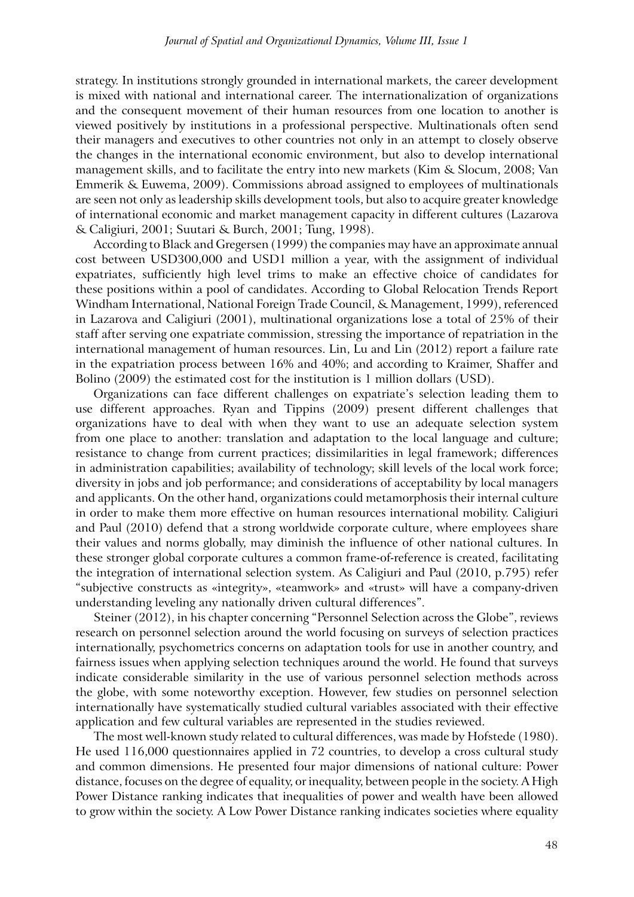strategy. In institutions strongly grounded in international markets, the career development is mixed with national and international career. The internationalization of organizations and the consequent movement of their human resources from one location to another is viewed positively by institutions in a professional perspective. Multinationals often send their managers and executives to other countries not only in an attempt to closely observe the changes in the international economic environment, but also to develop international management skills, and to facilitate the entry into new markets (Kim & Slocum, 2008; Van Emmerik & Euwema, 2009). Commissions abroad assigned to employees of multinationals are seen not only as leadership skills development tools, but also to acquire greater knowledge of international economic and market management capacity in different cultures (Lazarova & Caligiuri, 2001; Suutari & Burch, 2001; Tung, 1998).

According to Black and Gregersen (1999) the companies may have an approximate annual cost between USD300,000 and USD1 million a year, with the assignment of individual expatriates, sufficiently high level trims to make an effective choice of candidates for these positions within a pool of candidates. According to Global Relocation Trends Report Windham International, National Foreign Trade Council, & Management, 1999), referenced in Lazarova and Caligiuri (2001), multinational organizations lose a total of 25% of their staff after serving one expatriate commission, stressing the importance of repatriation in the international management of human resources. Lin, Lu and Lin (2012) report a failure rate in the expatriation process between 16% and 40%; and according to Kraimer, Shaffer and Bolino (2009) the estimated cost for the institution is 1 million dollars (USD).

Organizations can face different challenges on expatriate's selection leading them to use different approaches. Ryan and Tippins (2009) present different challenges that organizations have to deal with when they want to use an adequate selection system from one place to another: translation and adaptation to the local language and culture; resistance to change from current practices; dissimilarities in legal framework; differences in administration capabilities; availability of technology; skill levels of the local work force; diversity in jobs and job performance; and considerations of acceptability by local managers and applicants. On the other hand, organizations could metamorphosis their internal culture in order to make them more effective on human resources international mobility. Caligiuri and Paul (2010) defend that a strong worldwide corporate culture, where employees share their values and norms globally, may diminish the influence of other national cultures. In these stronger global corporate cultures a common frame-of-reference is created, facilitating the integration of international selection system. As Caligiuri and Paul (2010, p.795) refer "subjective constructs as «integrity», «teamwork» and «trust» will have a company-driven understanding leveling any nationally driven cultural differences".

Steiner (2012), in his chapter concerning "Personnel Selection across the Globe", reviews research on personnel selection around the world focusing on surveys of selection practices internationally, psychometrics concerns on adaptation tools for use in another country, and fairness issues when applying selection techniques around the world. He found that surveys indicate considerable similarity in the use of various personnel selection methods across the globe, with some noteworthy exception. However, few studies on personnel selection internationally have systematically studied cultural variables associated with their effective application and few cultural variables are represented in the studies reviewed.

The most well-known study related to cultural differences, was made by Hofstede (1980). He used 116,000 questionnaires applied in 72 countries, to develop a cross cultural study and common dimensions. He presented four major dimensions of national culture: Power distance, focuses on the degree of equality, or inequality, between people in the society. A High Power Distance ranking indicates that inequalities of power and wealth have been allowed to grow within the society. A Low Power Distance ranking indicates societies where equality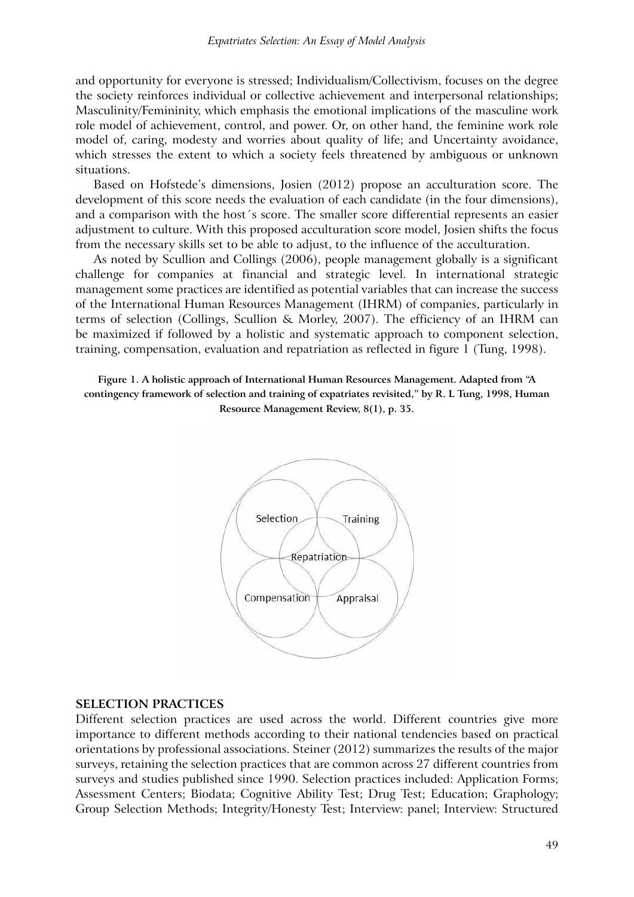and opportunity for everyone is stressed; Individualism/Collectivism, focuses on the degree the society reinforces individual or collective achievement and interpersonal relationships; Masculinity/Femininity, which emphasis the emotional implications of the masculine work role model of achievement, control, and power. Or, on other hand, the feminine work role model of, caring, modesty and worries about quality of life; and Uncertainty avoidance, which stresses the extent to which a society feels threatened by ambiguous or unknown situations.

Based on Hofstede's dimensions, Josien (2012) propose an acculturation score. The development of this score needs the evaluation of each candidate (in the four dimensions), and a comparison with the host´s score. The smaller score differential represents an easier adjustment to culture. With this proposed acculturation score model, Josien shifts the focus from the necessary skills set to be able to adjust, to the influence of the acculturation.

As noted by Scullion and Collings (2006), people management globally is a significant challenge for companies at financial and strategic level. In international strategic management some practices are identified as potential variables that can increase the success of the International Human Resources Management (IHRM) of companies, particularly in terms of selection (Collings, Scullion & Morley, 2007). The efficiency of an IHRM can be maximized if followed by a holistic and systematic approach to component selection, training, compensation, evaluation and repatriation as reflected in figure 1 (Tung, 1998).





## **SELECTION PRACTICES**

Different selection practices are used across the world. Different countries give more importance to different methods according to their national tendencies based on practical orientations by professional associations. Steiner (2012) summarizes the results of the major surveys, retaining the selection practices that are common across 27 different countries from surveys and studies published since 1990. Selection practices included: Application Forms; Assessment Centers; Biodata; Cognitive Ability Test; Drug Test; Education; Graphology; Group Selection Methods; Integrity/Honesty Test; Interview: panel; Interview: Structured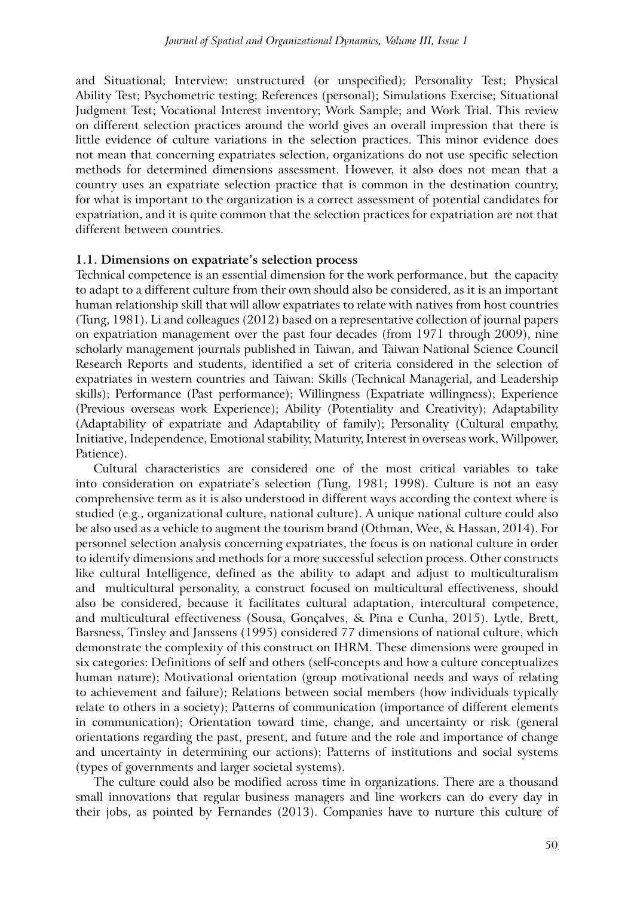and Situational; Interview: unstructured (or unspecified); Personality Test; Physical Ability Test; Psychometric testing; References (personal); Simulations Exercise; Situational Judgment Test; Vocational Interest inventory; Work Sample; and Work Trial. This review on different selection practices around the world gives an overall impression that there is little evidence of culture variations in the selection practices. This minor evidence does not mean that concerning expatriates selection, organizations do not use specific selection methods for determined dimensions assessment. However, it also does not mean that a country uses an expatriate selection practice that is common in the destination country, for what is important to the organization is a correct assessment of potential candidates for expatriation, and it is quite common that the selection practices for expatriation are not that different between countries.

## **1.1. Dimensions on expatriate's selection process**

Technical competence is an essential dimension for the work performance, but the capacity to adapt to a different culture from their own should also be considered, as it is an important human relationship skill that will allow expatriates to relate with natives from host countries (Tung, 1981). Li and colleagues (2012) based on a representative collection of journal papers on expatriation management over the past four decades (from 1971 through 2009), nine scholarly management journals published in Taiwan, and Taiwan National Science Council Research Reports and students, identified a set of criteria considered in the selection of expatriates in western countries and Taiwan: Skills (Technical Managerial, and Leadership skills); Performance (Past performance); Willingness (Expatriate willingness); Experience (Previous overseas work Experience); Ability (Potentiality and Creativity); Adaptability (Adaptability of expatriate and Adaptability of family); Personality (Cultural empathy, Initiative, Independence, Emotional stability, Maturity, Interest in overseas work, Willpower, Patience).

Cultural characteristics are considered one of the most critical variables to take into consideration on expatriate's selection (Tung, 1981; 1998). Culture is not an easy comprehensive term as it is also understood in different ways according the context where is studied (e.g., organizational culture, national culture). A unique national culture could also be also used as a vehicle to augment the tourism brand (Othman, Wee, & Hassan, 2014). For personnel selection analysis concerning expatriates, the focus is on national culture in order to identify dimensions and methods for a more successful selection process. Other constructs like cultural Intelligence, defined as the ability to adapt and adjust to multiculturalism and multicultural personality, a construct focused on multicultural effectiveness, should also be considered, because it facilitates cultural adaptation, intercultural competence, and multicultural effectiveness (Sousa, Gonçalves, & Pina e Cunha, 2015). Lytle, Brett, Barsness, Tinsley and Janssens (1995) considered 77 dimensions of national culture, which demonstrate the complexity of this construct on IHRM. These dimensions were grouped in six categories: Definitions of self and others (self-concepts and how a culture conceptualizes human nature); Motivational orientation (group motivational needs and ways of relating to achievement and failure); Relations between social members (how individuals typically relate to others in a society); Patterns of communication (importance of different elements in communication); Orientation toward time, change, and uncertainty or risk (general orientations regarding the past, present, and future and the role and importance of change and uncertainty in determining our actions); Patterns of institutions and social systems (types of governments and larger societal systems).

The culture could also be modified across time in organizations. There are a thousand small innovations that regular business managers and line workers can do every day in their jobs, as pointed by Fernandes (2013). Companies have to nurture this culture of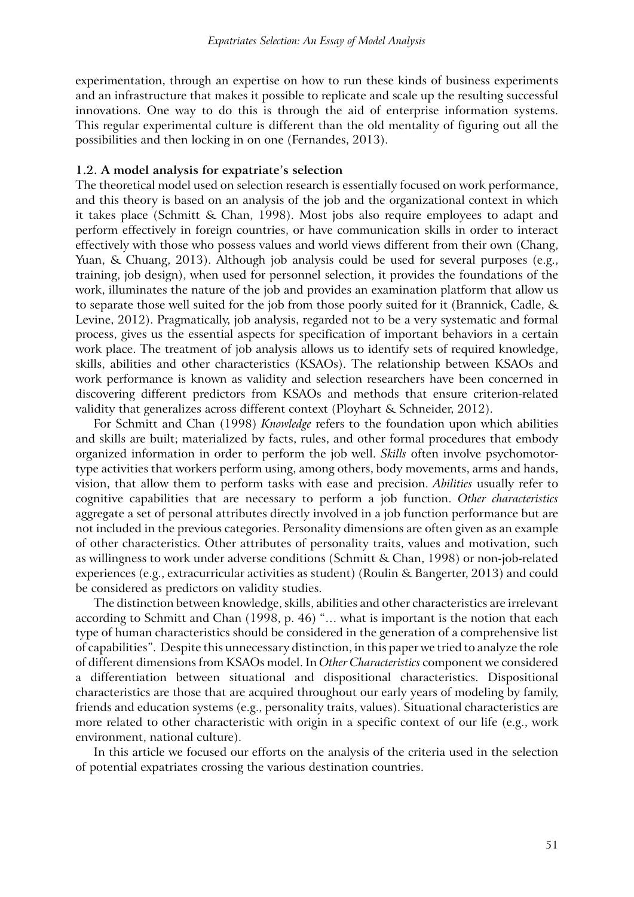experimentation, through an expertise on how to run these kinds of business experiments and an infrastructure that makes it possible to replicate and scale up the resulting successful innovations. One way to do this is through the aid of enterprise information systems. This regular experimental culture is different than the old mentality of figuring out all the possibilities and then locking in on one (Fernandes, 2013).

#### **1.2. A model analysis for expatriate's selection**

The theoretical model used on selection research is essentially focused on work performance, and this theory is based on an analysis of the job and the organizational context in which it takes place (Schmitt & Chan, 1998). Most jobs also require employees to adapt and perform effectively in foreign countries, or have communication skills in order to interact effectively with those who possess values and world views different from their own (Chang, Yuan, & Chuang, 2013). Although job analysis could be used for several purposes (e.g., training, job design), when used for personnel selection, it provides the foundations of the work, illuminates the nature of the job and provides an examination platform that allow us to separate those well suited for the job from those poorly suited for it (Brannick, Cadle, & Levine, 2012). Pragmatically, job analysis, regarded not to be a very systematic and formal process, gives us the essential aspects for specification of important behaviors in a certain work place. The treatment of job analysis allows us to identify sets of required knowledge, skills, abilities and other characteristics (KSAOs). The relationship between KSAOs and work performance is known as validity and selection researchers have been concerned in discovering different predictors from KSAOs and methods that ensure criterion-related validity that generalizes across different context (Ployhart & Schneider, 2012).

For Schmitt and Chan (1998) *Knowledge* refers to the foundation upon which abilities and skills are built; materialized by facts, rules, and other formal procedures that embody organized information in order to perform the job well. *Skills* often involve psychomotortype activities that workers perform using, among others, body movements, arms and hands, vision, that allow them to perform tasks with ease and precision. *Abilities* usually refer to cognitive capabilities that are necessary to perform a job function. *Other characteristics* aggregate a set of personal attributes directly involved in a job function performance but are not included in the previous categories. Personality dimensions are often given as an example of other characteristics. Other attributes of personality traits, values and motivation, such as willingness to work under adverse conditions (Schmitt & Chan, 1998) or non-job-related experiences (e.g., extracurricular activities as student) (Roulin & Bangerter, 2013) and could be considered as predictors on validity studies.

The distinction between knowledge, skills, abilities and other characteristics are irrelevant according to Schmitt and Chan (1998, p. 46) "… what is important is the notion that each type of human characteristics should be considered in the generation of a comprehensive list of capabilities". Despite this unnecessary distinction, in this paper we tried to analyze the role of different dimensions from KSAOs model. In *Other Characteristics* component we considered a differentiation between situational and dispositional characteristics. Dispositional characteristics are those that are acquired throughout our early years of modeling by family, friends and education systems (e.g., personality traits, values). Situational characteristics are more related to other characteristic with origin in a specific context of our life (e.g., work environment, national culture).

In this article we focused our efforts on the analysis of the criteria used in the selection of potential expatriates crossing the various destination countries.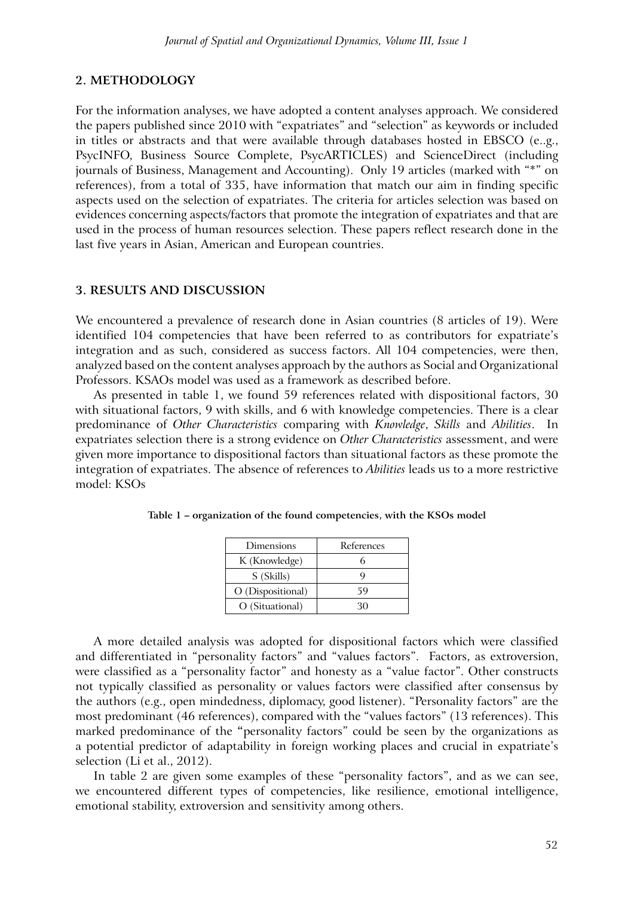# **2. METHODOLOGY**

For the information analyses, we have adopted a content analyses approach. We considered the papers published since 2010 with "expatriates" and "selection" as keywords or included in titles or abstracts and that were available through databases hosted in EBSCO (e..g., PsycINFO, Business Source Complete, PsycARTICLES) and ScienceDirect (including journals of Business, Management and Accounting). Only 19 articles (marked with "\*" on references), from a total of 335, have information that match our aim in finding specific aspects used on the selection of expatriates. The criteria for articles selection was based on evidences concerning aspects/factors that promote the integration of expatriates and that are used in the process of human resources selection. These papers reflect research done in the last five years in Asian, American and European countries.

## **3. RESULTS AND DISCUSSION**

We encountered a prevalence of research done in Asian countries (8 articles of 19). Were identified 104 competencies that have been referred to as contributors for expatriate's integration and as such, considered as success factors. All 104 competencies, were then, analyzed based on the content analyses approach by the authors as Social and Organizational Professors. KSAOs model was used as a framework as described before.

As presented in table 1, we found 59 references related with dispositional factors, 30 with situational factors, 9 with skills, and 6 with knowledge competencies. There is a clear predominance of *Other Characteristics* comparing with *Knowledge*, *Skills* and *Abilities*. In expatriates selection there is a strong evidence on *Other Characteristics* assessment, and were given more importance to dispositional factors than situational factors as these promote the integration of expatriates. The absence of references to *Abilities* leads us to a more restrictive model: KSOs

| Dimensions        | References |
|-------------------|------------|
| K (Knowledge)     |            |
| S (Skills)        |            |
| O (Dispositional) | 59         |
| O (Situational)   | 30         |

**Table 1 – organization of the found competencies, with the KSOs model**

A more detailed analysis was adopted for dispositional factors which were classified and differentiated in "personality factors" and "values factors". Factors, as extroversion, were classified as a "personality factor" and honesty as a "value factor". Other constructs not typically classified as personality or values factors were classified after consensus by the authors (e.g., open mindedness, diplomacy, good listener). "Personality factors" are the most predominant (46 references), compared with the "values factors" (13 references). This marked predominance of the **"**personality factors" could be seen by the organizations as a potential predictor of adaptability in foreign working places and crucial in expatriate's selection (Li et al., 2012).

In table 2 are given some examples of these "personality factors", and as we can see, we encountered different types of competencies, like resilience, emotional intelligence, emotional stability, extroversion and sensitivity among others.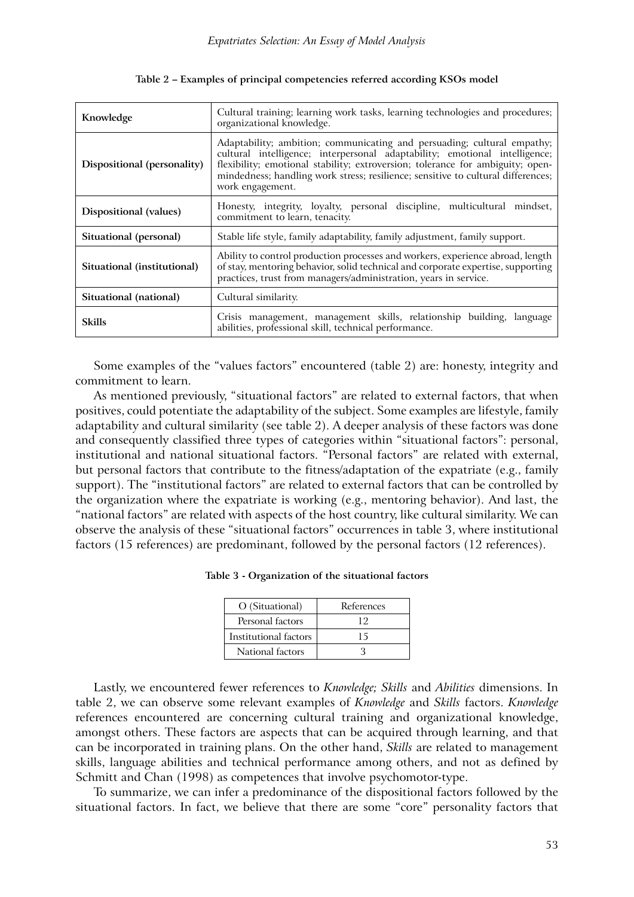| Knowledge                   | Cultural training; learning work tasks, learning technologies and procedures;<br>organizational knowledge.                                                                                                                                                                                                                                      |
|-----------------------------|-------------------------------------------------------------------------------------------------------------------------------------------------------------------------------------------------------------------------------------------------------------------------------------------------------------------------------------------------|
| Dispositional (personality) | Adaptability; ambition; communicating and persuading; cultural empathy;<br>cultural intelligence; interpersonal adaptability; emotional intelligence;<br>flexibility; emotional stability; extroversion; tolerance for ambiguity; open-<br>mindedness; handling work stress; resilience; sensitive to cultural differences;<br>work engagement. |
| Dispositional (values)      | Honesty, integrity, loyalty, personal discipline, multicultural mindset,<br>commitment to learn, tenacity.                                                                                                                                                                                                                                      |
| Situational (personal)      | Stable life style, family adaptability, family adjustment, family support.                                                                                                                                                                                                                                                                      |
| Situational (institutional) | Ability to control production processes and workers, experience abroad, length<br>of stay, mentoring behavior, solid technical and corporate expertise, supporting<br>practices, trust from managers/administration, years in service.                                                                                                          |
| Situational (national)      | Cultural similarity.                                                                                                                                                                                                                                                                                                                            |
| Skills                      | Crisis management, management skills, relationship building, language<br>abilities, professional skill, technical performance.                                                                                                                                                                                                                  |

**Table 2 – Examples of principal competencies referred according KSOs model**

Some examples of the "values factors" encountered (table 2) are: honesty, integrity and commitment to learn.

As mentioned previously, "situational factors" are related to external factors, that when positives, could potentiate the adaptability of the subject. Some examples are lifestyle, family adaptability and cultural similarity (see table 2). A deeper analysis of these factors was done and consequently classified three types of categories within "situational factors": personal, institutional and national situational factors. "Personal factors" are related with external, but personal factors that contribute to the fitness/adaptation of the expatriate (e.g., family support). The "institutional factors" are related to external factors that can be controlled by the organization where the expatriate is working (e.g., mentoring behavior). And last, the "national factors" are related with aspects of the host country, like cultural similarity. We can observe the analysis of these "situational factors" occurrences in table 3, where institutional factors (15 references) are predominant, followed by the personal factors (12 references).

**Table 3 - Organization of the situational factors** 

| O (Situational)       | References |
|-----------------------|------------|
| Personal factors      | 19         |
| Institutional factors | 15         |
| National factors      |            |

Lastly, we encountered fewer references to *Knowledge; Skills* and *Abilities* dimensions. In table 2, we can observe some relevant examples of *Knowledge* and *Skills* factors. *Knowledge* references encountered are concerning cultural training and organizational knowledge, amongst others. These factors are aspects that can be acquired through learning, and that can be incorporated in training plans. On the other hand, *Skills* are related to management skills, language abilities and technical performance among others, and not as defined by Schmitt and Chan (1998) as competences that involve psychomotor-type.

To summarize, we can infer a predominance of the dispositional factors followed by the situational factors. In fact, we believe that there are some "core" personality factors that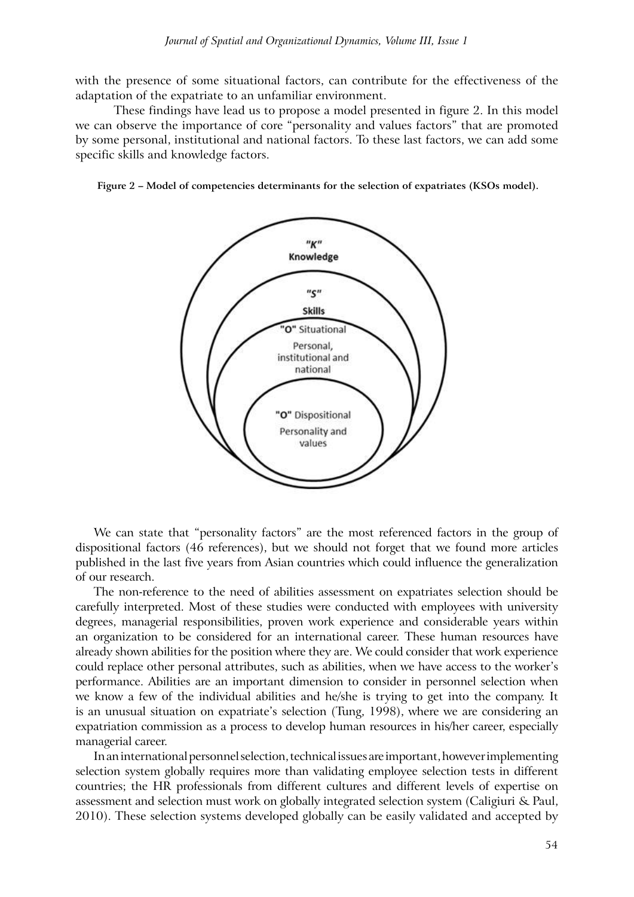with the presence of some situational factors, can contribute for the effectiveness of the adaptation of the expatriate to an unfamiliar environment.

These findings have lead us to propose a model presented in figure 2. In this model we can observe the importance of core "personality and values factors" that are promoted by some personal, institutional and national factors. To these last factors, we can add some specific skills and knowledge factors.

**Figure 2 – Model of competencies determinants for the selection of expatriates (KSOs model).**



We can state that "personality factors" are the most referenced factors in the group of dispositional factors (46 references), but we should not forget that we found more articles published in the last five years from Asian countries which could influence the generalization of our research.

The non-reference to the need of abilities assessment on expatriates selection should be carefully interpreted. Most of these studies were conducted with employees with university degrees, managerial responsibilities, proven work experience and considerable years within an organization to be considered for an international career. These human resources have already shown abilities for the position where they are. We could consider that work experience could replace other personal attributes, such as abilities, when we have access to the worker's performance. Abilities are an important dimension to consider in personnel selection when we know a few of the individual abilities and he/she is trying to get into the company. It is an unusual situation on expatriate's selection (Tung, 1998), where we are considering an expatriation commission as a process to develop human resources in his/her career, especially managerial career.

In an international personnel selection, technical issues are important, however implementing selection system globally requires more than validating employee selection tests in different countries; the HR professionals from different cultures and different levels of expertise on assessment and selection must work on globally integrated selection system (Caligiuri & Paul, 2010). These selection systems developed globally can be easily validated and accepted by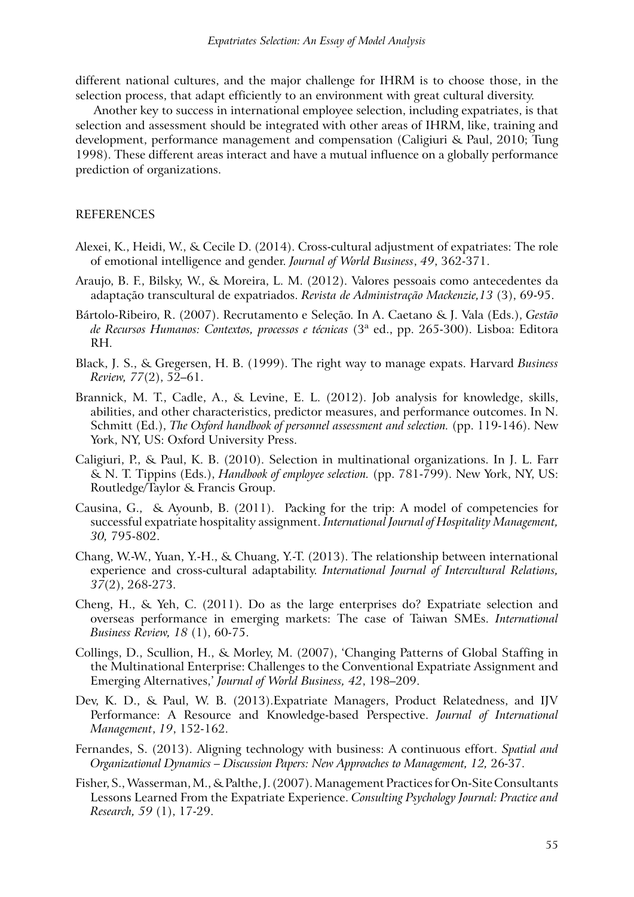different national cultures, and the major challenge for IHRM is to choose those, in the selection process, that adapt efficiently to an environment with great cultural diversity.

Another key to success in international employee selection, including expatriates, is that selection and assessment should be integrated with other areas of IHRM, like, training and development, performance management and compensation (Caligiuri & Paul, 2010; Tung 1998). These different areas interact and have a mutual influence on a globally performance prediction of organizations.

## REFERENCES

- Alexei, K., Heidi, W., & Cecile D. (2014). Cross-cultural adjustment of expatriates: The role of emotional intelligence and gender. *Journal of World Business*, *49*, 362-371.
- Araujo, B. F., Bilsky, W., & Moreira, L. M. (2012). Valores pessoais como antecedentes da adaptação transcultural de expatriados. *Revista de Administração Mackenzie,13* (3), 69-95.
- Bártolo-Ribeiro, R. (2007). Recrutamento e Seleção. In A. Caetano & J. Vala (Eds.), *Gestão de Recursos Humanos: Contextos, processos e técnicas* (3ª ed., pp. 265-300). Lisboa: Editora RH.
- Black, J. S., & Gregersen, H. B. (1999). The right way to manage expats. Harvard *Business Review, 77*(2), 52–61.
- Brannick, M. T., Cadle, A., & Levine, E. L. (2012). Job analysis for knowledge, skills, abilities, and other characteristics, predictor measures, and performance outcomes. In N. Schmitt (Ed.), *The Oxford handbook of personnel assessment and selection.* (pp. 119-146). New York, NY, US: Oxford University Press.
- Caligiuri, P., & Paul, K. B. (2010). Selection in multinational organizations. In J. L. Farr & N. T. Tippins (Eds.), *Handbook of employee selection.* (pp. 781-799). New York, NY, US: Routledge/Taylor & Francis Group.
- Causina, G., & Ayounb, B. (2011). Packing for the trip: A model of competencies for successful expatriate hospitality assignment. *International Journal of Hospitality Management, 30,* 795-802.
- Chang, W.-W., Yuan, Y.-H., & Chuang, Y.-T. (2013). The relationship between international experience and cross-cultural adaptability. *International Journal of Intercultural Relations, 37*(2), 268-273.
- Cheng, H., & Yeh, C. (2011). Do as the large enterprises do? Expatriate selection and overseas performance in emerging markets: The case of Taiwan SMEs. *International Business Review, 18* (1), 60-75.
- Collings, D., Scullion, H., & Morley, M. (2007), 'Changing Patterns of Global Staffing in the Multinational Enterprise: Challenges to the Conventional Expatriate Assignment and Emerging Alternatives,' *Journal of World Business, 42*, 198–209.
- Dev, K. D., & Paul, W. B. (2013).Expatriate Managers, Product Relatedness, and IJV Performance: A Resource and Knowledge-based Perspective. *Journal of International Management*, *19*, 152-162.
- Fernandes, S. (2013). Aligning technology with business: A continuous effort. *Spatial and Organizational Dynamics – Discussion Papers: New Approaches to Management, 12, 26-37.*
- Fisher, S., Wasserman, M., & Palthe, J. (2007). Management Practices for On-Site Consultants Lessons Learned From the Expatriate Experience. *Consulting Psychology Journal: Practice and Research, 59* (1), 17-29.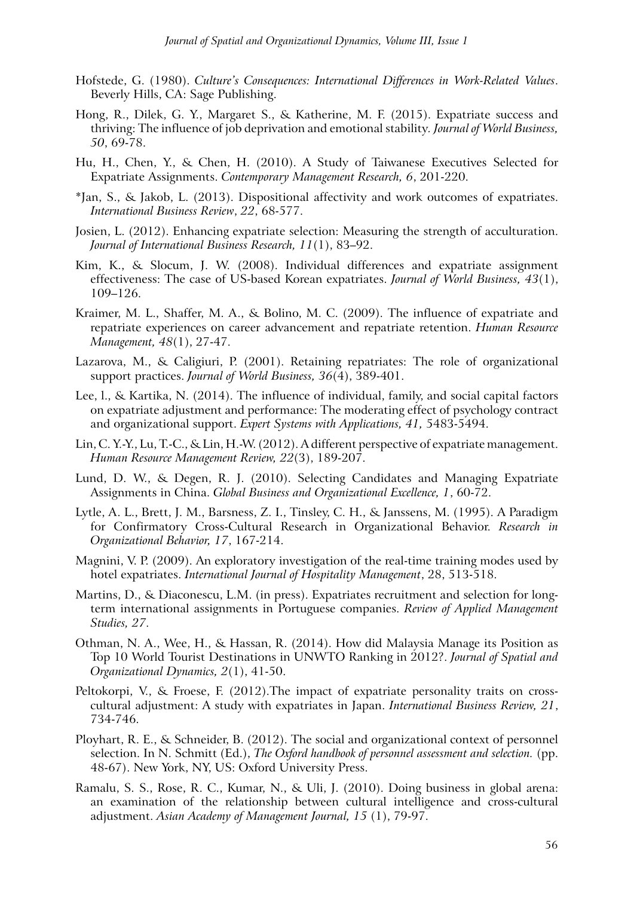- Hofstede, G. (1980). *Culture's Consequences: International Differences in Work-Related Values*. Beverly Hills, CA: Sage Publishing.
- Hong, R., Dilek, G. Y., Margaret S., & Katherine, M. F. (2015). Expatriate success and thriving: The influence of job deprivation and emotional stability*. Journal of World Business, 50*, 69-78.
- Hu, H., Chen, Y., & Chen, H. (2010). A Study of Taiwanese Executives Selected for Expatriate Assignments. *Contemporary Management Research, 6*, 201-220.
- \*Jan, S., & Jakob, L. (2013). Dispositional affectivity and work outcomes of expatriates. *International Business Review*, *22*, 68-577.
- Josien, L. (2012). Enhancing expatriate selection: Measuring the strength of acculturation. *Journal of International Business Research, 11*(1), 83–92.
- Kim, K., & Slocum, J. W. (2008). Individual differences and expatriate assignment effectiveness: The case of US-based Korean expatriates. *Journal of World Business, 43*(1), 109–126.
- Kraimer, M. L., Shaffer, M. A., & Bolino, M. C. (2009). The influence of expatriate and repatriate experiences on career advancement and repatriate retention. *Human Resource Management, 48*(1), 27-47.
- Lazarova, M., & Caligiuri, P. (2001). Retaining repatriates: The role of organizational support practices. *Journal of World Business, 36*(4), 389-401.
- Lee, l., & Kartika, N. (2014). The influence of individual, family, and social capital factors on expatriate adjustment and performance: The moderating effect of psychology contract and organizational support. *Expert Systems with Applications, 41,* 5483-5494.
- Lin, C. Y.-Y., Lu, T.-C., & Lin, H.-W. (2012). A different perspective of expatriate management. *Human Resource Management Review, 22*(3), 189-207.
- Lund, D. W., & Degen, R. J. (2010). Selecting Candidates and Managing Expatriate Assignments in China. *Global Business and Organizational Excellence, 1*, 60-72.
- Lytle, A. L., Brett, J. M., Barsness, Z. I., Tinsley, C. H., & Janssens, M. (1995). A Paradigm for Confirmatory Cross-Cultural Research in Organizational Behavior. *Research in Organizational Behavior, 17*, 167-214.
- Magnini, V. P. (2009). An exploratory investigation of the real-time training modes used by hotel expatriates. *International Journal of Hospitality Management*, 28, 513-518.
- Martins, D., & Diaconescu, L.M. (in press). Expatriates recruitment and selection for longterm international assignments in Portuguese companies. *Review of Applied Management Studies, 27*.
- Othman, N. A., Wee, H., & Hassan, R. (2014). How did Malaysia Manage its Position as Top 10 World Tourist Destinations in UNWTO Ranking in 2012?. *Journal of Spatial and Organizational Dynamics, 2*(1), 41-50.
- Peltokorpi, V., & Froese, F. (2012).The impact of expatriate personality traits on crosscultural adjustment: A study with expatriates in Japan. *International Business Review, 21*, 734-746.
- Ployhart, R. E., & Schneider, B. (2012). The social and organizational context of personnel selection. In N. Schmitt (Ed.), *The Oxford handbook of personnel assessment and selection.* (pp. 48-67). New York, NY, US: Oxford University Press.
- Ramalu, S. S., Rose, R. C., Kumar, N., & Uli, J. (2010). Doing business in global arena: an examination of the relationship between cultural intelligence and cross-cultural adjustment. *Asian Academy of Management Journal, 15* (1), 79-97.